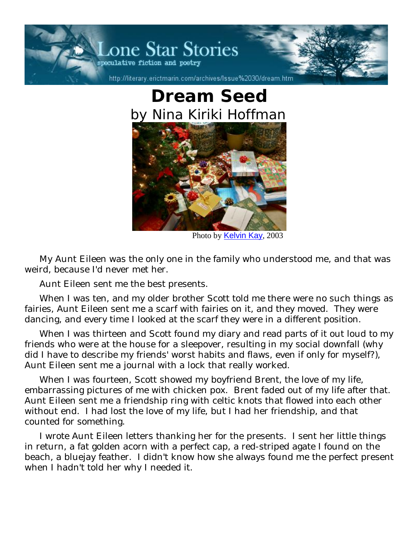

## **Dream Seed** *by Nina Kiriki Hoffman*



Photo by Kelvin Kay, 2003

My Aunt Eileen was the only one in the family who understood me, and that was weird, because I'd never met her.

Aunt Eileen sent me the best presents.

When I was ten, and my older brother Scott told me there were no such things as fairies, Aunt Eileen sent me a scarf with fairies on it, and they moved. They were dancing, and every time I looked at the scarf they were in a different position.

When I was thirteen and Scott found my diary and read parts of it out loud to my friends who were at the house for a sleepover, resulting in my social downfall (why did I have to describe my friends' worst habits and flaws, even if only for myself?), Aunt Eileen sent me a journal with a lock that really worked.

When I was fourteen, Scott showed my boyfriend Brent, the love of my life, embarrassing pictures of me with chicken pox. Brent faded out of my life after that. Aunt Eileen sent me a friendship ring with celtic knots that flowed into each other without end. I had lost the love of my life, but I had her friendship, and that counted for something.

I wrote Aunt Eileen letters thanking her for the presents. I sent her little things in return, a fat golden acorn with a perfect cap, a red-striped agate I found on the beach, a bluejay feather. I didn't know how she always found me the perfect present when I hadn't told her why I needed it.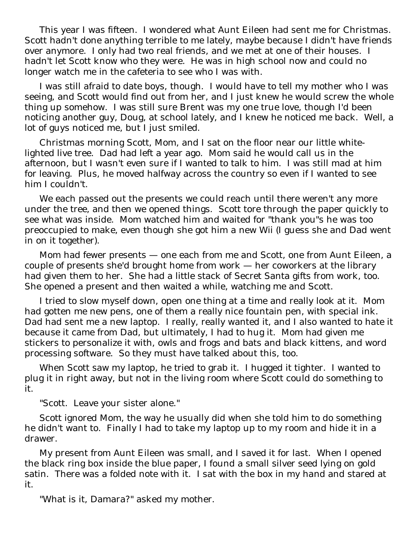This year I was fifteen. I wondered what Aunt Eileen had sent me for Christmas. Scott hadn't done anything terrible to me lately, maybe because I didn't have friends over anymore. I only had two real friends, and we met at one of their houses. I hadn't let Scott know who they were. He was in high school now and could no longer watch me in the cafeteria to see who I was with.

I was still afraid to date boys, though. I would have to tell my mother who I was seeing, and Scott would find out from her, and I just knew he would screw the whole thing up somehow. I was still sure Brent was my one true love, though I'd been noticing another guy, Doug, at school lately, and I knew he noticed me back. Well, a lot of guys noticed me, but I just smiled.

Christmas morning Scott, Mom, and I sat on the floor near our little whitelighted live tree. Dad had left a year ago. Mom said he would call us in the afternoon, but I wasn't even sure if I wanted to talk to him. I was still mad at him for leaving. Plus, he moved halfway across the country so even if I wanted to see him I couldn't.

We each passed out the presents we could reach until there weren't any more under the tree, and then we opened things. Scott tore through the paper quickly to see what was inside. Mom watched him and waited for "thank you"s he was too preoccupied to make, even though she got him a new Wii (I guess she and Dad went in on it together).

Mom had fewer presents — one each from me and Scott, one from Aunt Eileen, a couple of presents she'd brought home from work — her coworkers at the library had given them to her. She had a little stack of Secret Santa gifts from work, too. She opened a present and then waited a while, watching me and Scott.

I tried to slow myself down, open one thing at a time and really look at it. Mom had gotten me new pens, one of them a really nice fountain pen, with special ink. Dad had sent me a new laptop. I really, really wanted it, and I also wanted to hate it because it came from Dad, but ultimately, I had to hug it. Mom had given me stickers to personalize it with, owls and frogs and bats and black kittens, and word processing software. So they must have talked about this, too.

When Scott saw my laptop, he tried to grab it. I hugged it tighter. I wanted to plug it in right away, but not in the living room where Scott could do something to it.

"Scott. Leave your sister alone."

Scott ignored Mom, the way he usually did when she told him to do something he didn't want to. Finally I had to take my laptop up to my room and hide it in a drawer.

My present from Aunt Eileen was small, and I saved it for last. When I opened the black ring box inside the blue paper, I found a small silver seed lying on gold satin. There was a folded note with it. I sat with the box in my hand and stared at it.

"What is it, Damara?" asked my mother.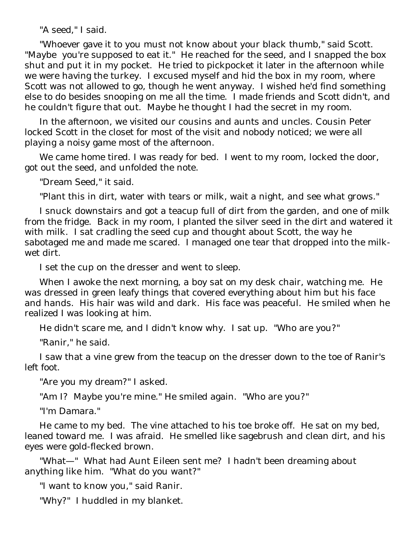"A seed," I said.

"Whoever gave it to you must not know about your black thumb," said Scott. "Maybe you're supposed to eat it." He reached for the seed, and I snapped the box shut and put it in my pocket. He tried to pickpocket it later in the afternoon while we were having the turkey. I excused myself and hid the box in my room, where Scott was not allowed to go, though he went anyway. I wished he'd find something else to do besides snooping on me all the time. I made friends and Scott didn't, and he couldn't figure that out. Maybe he thought I had the secret in my room.

In the afternoon, we visited our cousins and aunts and uncles. Cousin Peter locked Scott in the closet for most of the visit and nobody noticed; we were all playing a noisy game most of the afternoon.

We came home tired. I was ready for bed. I went to my room, locked the door, got out the seed, and unfolded the note.

"Dream Seed," it said.

"Plant this in dirt, water with tears or milk, wait a night, and see what grows."

I snuck downstairs and got a teacup full of dirt from the garden, and one of milk from the fridge. Back in my room, I planted the silver seed in the dirt and watered it with milk. I sat cradling the seed cup and thought about Scott, the way he sabotaged me and made me scared. I managed one tear that dropped into the milkwet dirt.

I set the cup on the dresser and went to sleep.

When I awoke the next morning, a boy sat on my desk chair, watching me. He was dressed in green leafy things that covered everything about him but his face and hands. His hair was wild and dark. His face was peaceful. He smiled when he realized I was looking at him.

He didn't scare me, and I didn't know why. I sat up. "Who are you?"

"Ranir," he said.

I saw that a vine grew from the teacup on the dresser down to the toe of Ranir's left foot.

"Are you my dream?" I asked.

"Am I? Maybe you're mine." He smiled again. "Who are you?"

"I'm Damara."

He came to my bed. The vine attached to his toe broke off. He sat on my bed, leaned toward me. I was afraid. He smelled like sagebrush and clean dirt, and his eyes were gold-flecked brown.

"What—" What had Aunt Eileen sent me? I hadn't been dreaming about anything like him. "What do you want?"

"I want to know you," said Ranir.

"Why?" I huddled in my blanket.